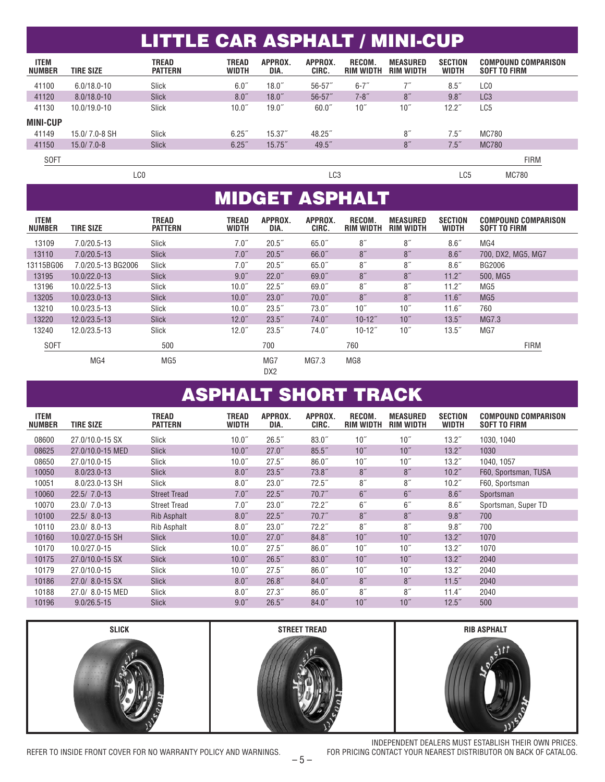|                              |                  | <b>LITTLE CAR ASPHALT / MINI-CUP</b> |                              |                 |                  |                            |                              |                                |                                                   |
|------------------------------|------------------|--------------------------------------|------------------------------|-----------------|------------------|----------------------------|------------------------------|--------------------------------|---------------------------------------------------|
|                              |                  |                                      |                              |                 |                  |                            |                              |                                |                                                   |
| <b>ITEM</b><br><b>NUMBER</b> | <b>TIRE SIZE</b> | TREAD<br><b>PATTERN</b>              | <b>TREAD</b><br><b>WIDTH</b> | APPROX.<br>DIA. | APPROX.<br>CIRC. | RECOM.<br><b>RIM WIDTH</b> | <b>MEASURED</b><br>RIM WIDTH | <b>SECTION</b><br><b>WIDTH</b> | <b>COMPOUND COMPARISON</b><br><b>SOFT TO FIRM</b> |
| 41100                        | $6.0/18.0 - 10$  | Slick                                | 6.0''                        | $18.0^{''}$     | $56 - 57$        | $6 - 7"$                   |                              | $8.5^{''}$                     | LC0                                               |
| 41120                        | $8.0/18.0 - 10$  | <b>Slick</b>                         | 8.0''                        | $18.0^{''}$     | $56 - 57$        | $7 - 8$ "                  | 8''                          | 9.8''                          | LC <sub>3</sub>                                   |
| 41130                        | 10.0/19.0-10     | <b>Slick</b>                         | 10.0 <sup>''</sup>           | $19.0^{''}$     | 60.0"            | 10 <sup>''</sup>           | 10 <sup>''</sup>             | $12.2^{''}$                    | LC5                                               |
| <b>MINI-CUP</b>              |                  |                                      |                              |                 |                  |                            |                              |                                |                                                   |
| 41149                        | 15.0/7.0-8 SH    | Slick                                | 6.25''                       | $15.37^{*}$     | 48.25            |                            | 8''                          | 7.5"                           | <b>MC780</b>                                      |
| 41150                        | $15.0/7.0 - 8$   | <b>Slick</b>                         | 6.25''                       | 15.75''         | 49.5"            |                            | 8''                          | 7.5''                          | <b>MC780</b>                                      |
| <b>SOFT</b>                  |                  |                                      |                              |                 |                  |                            |                              |                                | <b>FIRM</b>                                       |
| LCO                          |                  |                                      |                              |                 | LC3              |                            | LC5                          | <b>MC780</b>                   |                                                   |

## MIDGET ASPHALT

| <b>ITEM</b><br><b>NUMBER</b> | <b>TIRE SIZE</b>   | <b>TREAD</b><br><b>PATTERN</b> | <b>TREAD</b><br><b>WIDTH</b> | APPROX.<br>DIA. | APPROX.<br>CIRC. | RECOM.<br><b>RIM WIDTH</b> | <b>MEASURED</b><br><b>RIM WIDTH</b> | <b>SECTION</b><br><b>WIDTH</b> | <b>COMPOUND COMPARISON</b><br><b>SOFT TO FIRM</b> |
|------------------------------|--------------------|--------------------------------|------------------------------|-----------------|------------------|----------------------------|-------------------------------------|--------------------------------|---------------------------------------------------|
| 13109                        | 7.0/20.5-13        | Slick                          | 7.0''                        | 20.5"           | 65.0"            | 8''                        | 8''                                 | 8.6''                          | MG4                                               |
| 13110                        | 7.0/20.5-13        | <b>Slick</b>                   | 7.0''                        | 20.5"           | 66.0"            | 8''                        | 8''                                 | 8.6''                          | 700. DX2. MG5. MG7                                |
| 13115BG06                    | 7.0/20.5-13 BG2006 | Slick                          | 7.0''                        | 20.5"           | 65.0"            | 8''                        | 8''                                 | 8.6 <sup>''</sup>              | BG2006                                            |
| 13195                        | 10.0/22.0-13       | <b>Slick</b>                   | 9.0''                        | $22.0$ "        | 69.0"            | 8''                        | 8''                                 | 11.2 <sup>''</sup>             | 500. MG5                                          |
| 13196                        | 10.0/22.5-13       | Slick                          | 10.0 <sup>''</sup>           | $22.5$ "        | 69.0"            | 8''                        | 8''                                 | 11.2 <sup>''</sup>             | MG5                                               |
| 13205                        | 10.0/23.0-13       | <b>Slick</b>                   | 10.0 <sup>''</sup>           | $23.0$ "        | 70.0"            | 8''                        | 8''                                 | 11.6"                          | MG <sub>5</sub>                                   |
| 13210                        | 10.0/23.5-13       | Slick                          | 10.0 <sup>''</sup>           | $23.5$ "        | $73.0^{''}$      | 10"                        | 10"                                 | 11.6"                          | 760                                               |
| 13220                        | 12.0/23.5-13       | <b>Slick</b>                   | $12.0$ "                     | $23.5$ "        | 74.0''           | $10 - 12$ "                | 10"                                 | $13.5$ "                       | MG7.3                                             |
| 13240                        | 12.0/23.5-13       | Slick                          | $12.0^{''}$                  | $23.5$ "        | 74.0"            | $10 - 12$ "                | 10"                                 | $13.5$ "                       | MG7                                               |
| <b>SOFT</b>                  |                    | 500                            |                              | 700             |                  | 760                        |                                     |                                | <b>FIRM</b>                                       |
|                              | MG4                | MG <sub>5</sub>                |                              | MG7<br>DX2      | MG7.3            | MG8                        |                                     |                                |                                                   |

## ASPHALT SHORT TRACK

| <b>ITEM</b><br><b>NUMBER</b> | <b>TIRE SIZE</b> | <b>TREAD</b><br><b>PATTERN</b> | TREAD<br><b>WIDTH</b> | APPROX.<br>DIA.   | APPROX.<br>CIRC. | RECOM.<br><b>RIM WIDTH</b> | <b>MEASURED</b><br><b>RIM WIDTH</b> | <b>SECTION</b><br><b>WIDTH</b> | <b>COMPOUND COMPARISON</b><br><b>SOFT TO FIRM</b> |
|------------------------------|------------------|--------------------------------|-----------------------|-------------------|------------------|----------------------------|-------------------------------------|--------------------------------|---------------------------------------------------|
| 08600                        | 27.0/10.0-15 SX  | Slick                          | 10.0 <sup>''</sup>    | 26.5"             | $83.0^{''}$      | 10 <sup>''</sup>           | $10^{\prime\prime}$                 | $13.2^{n}$                     | 1030, 1040                                        |
| 08625                        | 27.0/10.0-15 MED | <b>Slick</b>                   | 10.0 <sup>''</sup>    | 27.0"             | 85.5''           | 10 <sup>''</sup>           | 10 <sup>''</sup>                    | $13.2^{r}$                     | 1030                                              |
| 08650                        | 27.0/10.0-15     | Slick                          | 10.0 <sup>''</sup>    | 27.5"             | $86.0$ "         | $10^{\prime\prime}$        | $10^{\prime\prime}$                 | 13.2 <sup>7</sup>              | 1040, 1057                                        |
| 10050                        | $8.0/23.0 - 13$  | <b>Slick</b>                   | 8.0''                 | $23.5$ "          | 73.8"            | 8 <sup>''</sup>            | 8''                                 | 10.2 <sup>7</sup>              | F60, Sportsman, TUSA                              |
| 10051                        | 8.0/23.0-13 SH   | Slick                          | 8.0''                 | $23.0$ "          | $72.5$ "         | 8''                        | 8''                                 | 10.2 <sup>7</sup>              | F60, Sportsman                                    |
| 10060                        | 22.5/ 7.0-13     | <b>Street Tread</b>            | 7.0''                 | 22.5"             | 70.7''           | 6''                        | 6 <sup>''</sup>                     | 8.6''                          | Sportsman                                         |
| 10070                        | 23.0/ 7.0-13     | <b>Street Tread</b>            | 7.0''                 | $23.0$ "          | 72.2"            | 6 <sup>''</sup>            | 6 <sup>''</sup>                     | 8.6''                          | Sportsman, Super TD                               |
| 10100                        | 22.5/8.0-13      | Rib Asphalt                    | 8.0''                 | 22.5"             | 70.7''           | 8 <sup>''</sup>            | 8''                                 | 9.8''                          | 700                                               |
| 10110                        | 23.0/ 8.0-13     | <b>Rib Asphalt</b>             | 8.0''                 | 23.0 <sup>7</sup> | 72.2"            | 8"                         | 8''                                 | 9.8''                          | 700                                               |
| 10160                        | 10.0/27.0-15 SH  | <b>Slick</b>                   | 10.0 <sup>''</sup>    | 27.0"             | 84.8''           | 10 <sup>''</sup>           | 10"                                 | 13.2 <sup>''</sup>             | 1070                                              |
| 10170                        | 10.0/27.0-15     | Slick                          | 10.0 <sup>''</sup>    | 27.5"             | $86.0$ "         | 10"                        | 10"                                 | $13.2^{n}$                     | 1070                                              |
| 10175                        | 27.0/10.0-15 SX  | <b>Slick</b>                   | 10.0 <sup>''</sup>    | 26.5"             | 83.0''           | 10"                        | 10"                                 | $13.2^{r}$                     | 2040                                              |
| 10179                        | 27.0/10.0-15     | Slick                          | 10.0 <sup>''</sup>    | 27.5"             | $86.0$ "         | 10"                        | 10"                                 | $13.2^{n}$                     | 2040                                              |
| 10186                        | 27.0/ 8.0-15 SX  | <b>Slick</b>                   | 8.0''                 | 26.8''            | 84.0''           | 8''                        | 8"                                  | $11.5$ "                       | 2040                                              |
| 10188                        | 27.0/ 8.0-15 MED | Slick                          | 8.0''                 | 27.3"             | 86.0"            | 8''                        | 8''                                 | $11.4$ "                       | 2040                                              |
| 10196                        | $9.0/26.5 - 15$  | <b>Slick</b>                   | 9.0''                 | 26.5"             | 84.0''           | 10"                        | 10"                                 | $12.5$ "                       | 500                                               |



REFER TO INSIDE FRONT COVER FOR NO WARRANTY POLICY AND WARNINGS.

Ì

INDEPENDENT DEALERS MUST ESTABLISH THEIR OWN PRICES.<br>FOR PRICING CONTACT YOUR NEAREST DISTRIBUTOR ON BACK OF CATALOG.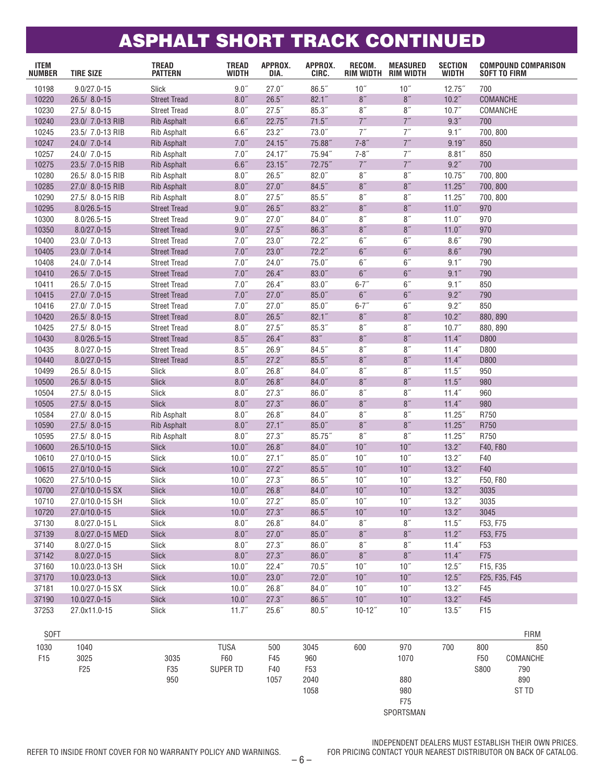## ASPHALT SHORT TRACK CONTINUED

| <b>ITEM</b><br><b>NUMBER</b> | <b>TIRE SIZE</b> | <b>TREAD</b><br><b>PATTERN</b> | <b>TREAD</b><br>WIDTH | APPROX.<br>DIA. | APPROX.<br>CIRC. | RECOM.<br>RIM WIDTH | <b>MEASURED</b><br>RIM WIDTH | <b>SECTION</b><br><b>WIDTH</b> | <b>COMPOUND COMPARISON</b><br><b>SOFT TO FIRM</b> |             |
|------------------------------|------------------|--------------------------------|-----------------------|-----------------|------------------|---------------------|------------------------------|--------------------------------|---------------------------------------------------|-------------|
| 10198                        | $9.0/27.0 - 15$  | Slick                          | $9.0$ $\,$            | 27.0"           | 86.5"            | 10''                | 10''                         | $12.75$ "                      | 700                                               |             |
| 10220                        | 26.5/8.0-15      | <b>Street Tread</b>            | 8.0"                  | 26.5"           | 82.1''           | 8''                 | 8"                           | 10.2 <sup>''</sup>             | COMANCHE                                          |             |
| 10230                        | 27.5/8.0-15      | <b>Street Tread</b>            | 8.0''                 | $27.5$ "        | 85.3"            | 8''                 | 8''                          | 10.7"                          | COMANCHE                                          |             |
| 10240                        | 23.0/ 7.0-13 RIB | <b>Rib Asphalt</b>             | 6.6''                 | 22.75"          | 71.5''           | 7''                 | $7^{\prime\prime}$           | 9.3''                          | 700                                               |             |
| 10245                        | 23.5/ 7.0-13 RIB | <b>Rib Asphalt</b>             | $6.6\ensuremath{''}$  | 23.2"           | 73.0''           | 7''                 | 7''                          | 9.1''                          | 700, 800                                          |             |
| 10247                        | 24.0/ 7.0-14     | <b>Rib Asphalt</b>             | 7.0''                 | 24.15''         | 75.88"           | $7 - 8"$            | $7^{\prime\prime}$           | 9.19''                         | 850                                               |             |
| 10257                        | 24.0/ 7.0-15     | <b>Rib Asphalt</b>             | 7.0''                 | 24.17"          | 75.94"           | $7 - 8"$            | 7''                          | 8.81''                         | 850                                               |             |
| 10275                        | 23.5/ 7.0-15 RIB | <b>Rib Asphalt</b>             | $6.6''$               | $23.15$ "       | 72.75"           | 7''                 | 7''                          | $9.2$ "                        | 700                                               |             |
| 10280                        | 26.5/ 8.0-15 RIB | <b>Rib Asphalt</b>             | $8.0$ $\,$            | 26.5"           | $82.0$ "         | 8''                 | 8''                          | $10.75$ "                      | 700, 800                                          |             |
| 10285                        | 27.0/ 8.0-15 RIB | <b>Rib Asphalt</b>             | $8.0\ensuremath{''}$  | 27.0"           | 84.5''           | 8"                  | $8\,$                        | 11.25''                        | 700, 800                                          |             |
| 10290                        | 27.5/ 8.0-15 RIB | <b>Rib Asphalt</b>             | 8.0''                 | 27.5"           | $85.5$ "         | 8''                 | $8\,$                        | $11.25$ "                      | 700, 800                                          |             |
| 10295                        | 8.0/26.5-15      | <b>Street Tread</b>            | $9.0$ $\!$            | 26.5"           | 83.2"            | 8''                 | 8"                           | 11.0''                         | 970                                               |             |
| 10300                        | 8.0/26.5-15      | <b>Street Tread</b>            | $9.0$ $\,$            | 27.0"           | $84.0$ "         | 8''                 | 8''                          | 11.0''                         | 970                                               |             |
| 10350                        | $8.0/27.0 - 15$  | <b>Street Tread</b>            | 9.0"                  | $27.5$ "        | 86.3"            | 8''                 | 8"                           | 11.0 <sup>''</sup>             | 970                                               |             |
| 10400                        | 23.0/ 7.0-13     | <b>Street Tread</b>            | 7.0''                 | $23.0$ "        | 72.2"            | 6''                 | 6''                          | $8.6$ "                        | 790                                               |             |
| 10405                        | 23.0/ 7.0-14     | <b>Street Tread</b>            | 7.0''                 | 23.0"           | 72.2''           | 6''                 | $6''$                        | $8.6$ "                        | 790                                               |             |
| 10408                        | 24.0/ 7.0-14     | <b>Street Tread</b>            | 7.0''                 | 24.0"           | $75.0$ "         | $6\,$               | $6\,$                        | 9.1''                          | 790                                               |             |
| 10410                        | 26.5/ 7.0-15     | <b>Street Tread</b>            | 7.0''                 | 26.4"           | 83.0''           | 6''                 | 6''                          | 9.1''                          | 790                                               |             |
| 10411                        | 26.5/ 7.0-15     | <b>Street Tread</b>            | 7.0''                 | 26.4"           | $83.0$ "         | $6 - 7''$           | 6''                          | 9.1''                          | 850                                               |             |
| 10415                        | 27.0/ 7.0-15     | <b>Street Tread</b>            | 7.0''                 | 27.0"           | 85.0"            | 6''                 | 6 <sup>''</sup>              | 9.2''                          | 790                                               |             |
| 10416                        | 27.0/ 7.0-15     | <b>Street Tread</b>            | 7.0''                 | 27.0"           | $85.0$ "         | $6 - 7"$            | 6''                          | 9.2''                          | 850                                               |             |
| 10420                        | 26.5/8.0-15      | <b>Street Tread</b>            | $8.0\ensuremath{''}$  | 26.5"           | 82.1''           | $8\,$               | $8\,$                        | 10.2"                          | 880, 890                                          |             |
| 10425                        | 27.5/8.0-15      | <b>Street Tread</b>            | $8.0$ "               | 27.5"           | 85.3"            | 8''                 | $8\,$                        | 10.7"                          | 880, 890                                          |             |
| 10430                        | 8.0/26.5-15      | <b>Street Tread</b>            | $8.5\ensuremath{''}$  | 26.4"           | 83''             | 8''                 | 8"                           | 11.4"                          | D800                                              |             |
| 10435                        | $8.0/27.0 - 15$  | <b>Street Tread</b>            | 8.5''                 | 26.9"           | 84.5"            | 8''                 | 8''                          | 11.4''                         | D800                                              |             |
| 10440                        | $8.0/27.0 - 15$  | <b>Street Tread</b>            | $8.5$ "               | 27.2"           | $85.5$ "         | 8''                 | 8"                           | 11.4"                          | D800                                              |             |
| 10499                        | 26.5/8.0-15      | Slick                          | 8.0''                 | 26.8"           | $84.0$ "         | 8''                 | 8''                          | $11.5$ "                       | 950                                               |             |
| 10500                        | 26.5/8.0-15      | Slick                          | $8.0\ensuremath{''}$  | 26.8"           | 84.0''           | 8"                  | $8\,$                        | 11.5"                          | 980                                               |             |
| 10504                        | 27.5/8.0-15      | Slick                          | $8.0$ "               | 27.3"           | 86.0"            | $8\,$               | $8\,$                        | 11.4''                         | 960                                               |             |
| 10505                        | 27.5/8.0-15      | Slick                          | $8.0\ensuremath{''}$  | 27.3''          | 86.0"            | 8''                 | 8"                           | 11.4''                         | 980                                               |             |
| 10584                        | 27.0/8.0-15      | Rib Asphalt                    | $8.0$ $\,$            | 26.8"           | $84.0$ "         | 8''                 | 8''                          | $11.25$ "                      | R750                                              |             |
| 10590                        | 27.5/8.0-15      | <b>Rib Asphalt</b>             | $8.0\ensuremath{''}$  | 27.1"           | $85.0$ "         | 8''                 | 8"                           | $11.25$ "                      | R750                                              |             |
| 10595                        | 27.5/8.0-15      | <b>Rib Asphalt</b>             | 8.0''                 | 27.3"           | 85.75"           | 8''                 | 8''                          | $11.25$ "                      | R750                                              |             |
| 10600                        | 26.5/10.0-15     | <b>Slick</b>                   | 10.0"                 | 26.8"           | 84.0''           | 10"                 | 10"                          | 13.2''                         | F40, F80                                          |             |
| 10610                        | 27.0/10.0-15     | Slick                          | 10.0"                 | 27.1"           | $85.0$ "         | 10"                 | 10"                          | 13.2 <sup>''</sup>             | F40                                               |             |
| 10615                        | 27.0/10.0-15     | Slick                          | 10.0"                 | 27.2"           | 85.5''           | 10''                | 10"                          | 13.2''                         | F40                                               |             |
| 10620                        | 27.5/10.0-15     | Slick                          | 10.0"                 | 27.3"           | 86.5"            | 10"                 | $10^{\prime\prime}$          | 13.2 <sup>''</sup>             | F50, F80                                          |             |
| 10700                        | 27.0/10.0-15 SX  | Slick                          | 10.0"                 | 26.8"           | 84.0''           | 10''                | 10"                          | 13.2''                         | 3035                                              |             |
| 10710                        | 27.0/10.0-15 SH  | Slick                          | $10.0$ "              | 27.2"           | 85.0''           | 10''                | 10''                         | $13.2^{''}$                    | 3035                                              |             |
| 10720                        | 27.0/10.0-15     | <b>Slick</b>                   | 10.0"                 | 27.3"           | 86.5''           | $10''$              | $10''$                       | 13.2''                         | 3045                                              |             |
| 37130                        | 8.0/27.0-15L     | Slick                          | $8.0$ "               | 26.8"           | 84.0''           | 8 <sup>''</sup>     | 8''                          | $11.5$ "                       | F53, F75                                          |             |
| 37139                        | 8.0/27.0-15 MED  | Slick                          | $8.0\ensuremath{''}$  | 27.0"           | $85.0$ "         | $8^{\prime\prime}$  | $8^{\prime\prime}$           | 11.2''                         | F53, F75                                          |             |
| 37140                        | $8.0/27.0 - 15$  | Slick                          | $8.0$ "               | 27.3"           | 86.0"            | $8^{\prime\prime}$  | $8^{\prime\prime}$           | 11.4''                         | F <sub>53</sub>                                   |             |
| 37142                        | $8.0/27.0 - 15$  | <b>Slick</b>                   | 8.0''                 | 27.3"           | 86.0''           | $8\,$               | $8^{\prime\prime}$           | 11.4''                         | F75                                               |             |
| 37160                        | 10.0/23.0-13 SH  | Slick                          | 10.0"                 | 22.4"           | 70.5''           | 10''                | 10''                         | $12.5$ "                       | F15, F35                                          |             |
| 37170                        | 10.0/23.0-13     | <b>Slick</b>                   | 10.0 <sup>''</sup>    | 23.0''          | 72.0''           | 10 <sup>''</sup>    | $10''$                       | $12.5$ "                       | F25, F35, F45                                     |             |
| 37181                        | 10.0/27.0-15 SX  | Slick                          | 10.0"                 | 26.8"           | 84.0''           | $10^{\prime\prime}$ | 10''                         | $13.2^{''}$                    | F45                                               |             |
| 37190                        |                  | <b>Slick</b>                   | 10.0"                 | 27.3''          | 86.5''           | $10''$              | $10''$                       | $13.2^{''}$                    | F45                                               |             |
|                              | 10.0/27.0-15     |                                |                       |                 |                  |                     | 10''                         |                                | F15                                               |             |
| 37253                        | 27.0x11.0-15     | Slick                          | 11.7''                | 25.6"           | 80.5''           | $10 - 12$ "         |                              | $13.5$ "                       |                                                   |             |
|                              |                  |                                |                       |                 |                  |                     |                              |                                |                                                   |             |
| <b>SOFT</b>                  |                  |                                |                       |                 |                  |                     |                              |                                |                                                   | <b>FIRM</b> |
| 1030                         | 1040             |                                | <b>TUSA</b>           | 500             | 3045             | 600                 | 970                          | 700                            | 800                                               | 850         |

| <b>JULI</b>     |                 |      |                 |      |                 |     |           |     |                 | <b>FINIVI</b>    |
|-----------------|-----------------|------|-----------------|------|-----------------|-----|-----------|-----|-----------------|------------------|
| 1030            | 1040            |      | TUSA            | 500  | 3045            | 600 | 970       | 700 | 800             | 850              |
| F <sub>15</sub> | 3025            | 3035 | F60             | F45  | 960             |     | 1070      |     | F <sub>50</sub> | COMANCHE         |
|                 | F <sub>25</sub> | F35  | <b>SUPER TD</b> | F40  | F <sub>53</sub> |     |           |     | S800            | 790              |
|                 |                 | 950  |                 | 1057 | 2040            |     | 880       |     |                 | 890              |
|                 |                 |      |                 |      | 1058            |     | 980       |     |                 | ST <sub>TD</sub> |
|                 |                 |      |                 |      |                 |     | F75       |     |                 |                  |
|                 |                 |      |                 |      |                 |     | SPORTSMAN |     |                 |                  |
|                 |                 |      |                 |      |                 |     |           |     |                 |                  |

REFER TO INSIDE FRONT COVER FOR NO WARRANTY POLICY AND WARNINGS.

INDEPENDENT DEALERS MUST ESTABLISH THEIR OWN PRICES.<br>FOR PRICING CONTACT YOUR NEAREST DISTRIBUTOR ON BACK OF CATALOG.